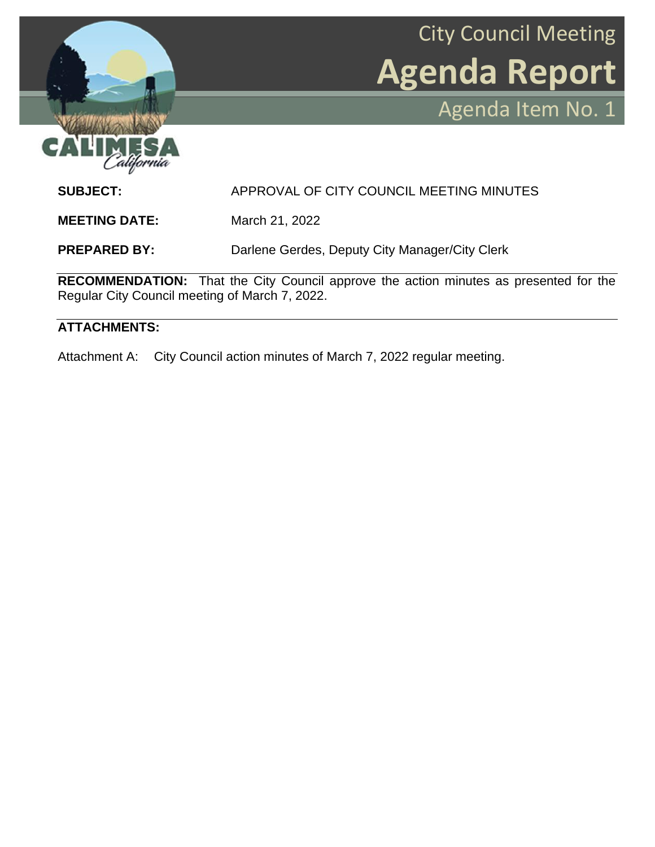

City Council Meeting **Agenda Report** Agenda Item No. 1

**SUBJECT:** APPROVAL OF CITY COUNCIL MEETING MINUTES

**MEETING DATE:** March 21, 2022

**PREPARED BY:** Darlene Gerdes, Deputy City Manager/City Clerk

**RECOMMENDATION:** That the City Council approve the action minutes as presented for the Regular City Council meeting of March 7, 2022.

## **ATTACHMENTS:**

Attachment A: City Council action minutes of March 7, 2022 regular meeting.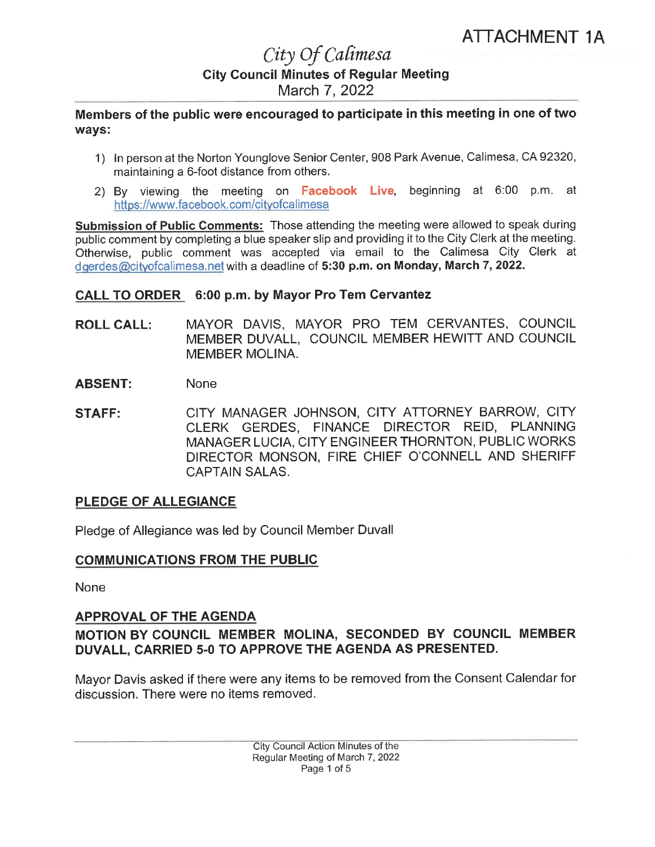## City Of Calimesa **City Council Minutes of Regular Meeting** March 7, 2022

Members of the public were encouraged to participate in this meeting in one of two ways:

- 1) In person at the Norton Younglove Senior Center, 908 Park Avenue, Calimesa, CA 92320, maintaining a 6-foot distance from others.
- 2) By viewing the meeting on Facebook Live, beginning at 6:00 p.m. at https://www.facebook.com/cityofcalimesa

Submission of Public Comments: Those attending the meeting were allowed to speak during public comment by completing a blue speaker slip and providing it to the City Clerk at the meeting. Otherwise, public comment was accepted via email to the Calimesa City Clerk at dgerdes@cityofcalimesa.net with a deadline of 5:30 p.m. on Monday, March 7, 2022.

#### CALL TO ORDER 6:00 p.m. by Mayor Pro Tem Cervantez

- **ROLL CALL:** MAYOR DAVIS, MAYOR PRO TEM CERVANTES, COUNCIL MEMBER DUVALL, COUNCIL MEMBER HEWITT AND COUNCIL MEMBER MOLINA.
- **ABSENT: None**
- CITY MANAGER JOHNSON, CITY ATTORNEY BARROW, CITY **STAFF:** CLERK GERDES, FINANCE DIRECTOR REID, PLANNING MANAGER LUCIA, CITY ENGINEER THORNTON, PUBLIC WORKS DIRECTOR MONSON, FIRE CHIEF O'CONNELL AND SHERIFF **CAPTAIN SALAS.**

#### **PLEDGE OF ALLEGIANCE**

Pledge of Allegiance was led by Council Member Duvall

#### **COMMUNICATIONS FROM THE PUBLIC**

**None** 

#### **APPROVAL OF THE AGENDA**

## MOTION BY COUNCIL MEMBER MOLINA, SECONDED BY COUNCIL MEMBER DUVALL, CARRIED 5-0 TO APPROVE THE AGENDA AS PRESENTED.

Mayor Dayis asked if there were any items to be removed from the Consent Calendar for discussion. There were no items removed.

> City Council Action Minutes of the Regular Meeting of March 7, 2022 Page 1 of 5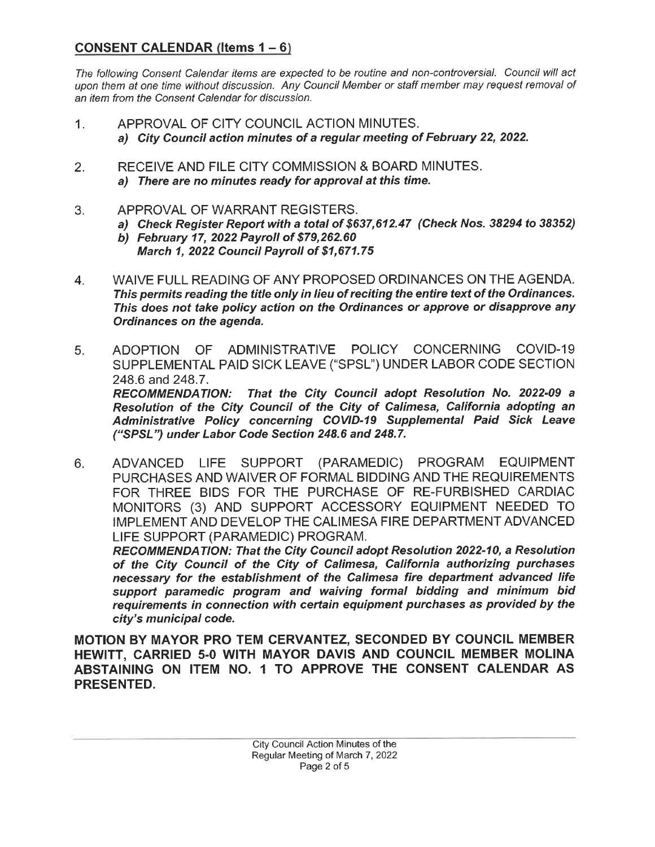## **CONSENT CALENDAR (Items**  $1 - 6$ **)**

The following Consent Calendar items are expected to be routine and non-controversial. Council will act upon them at one time without discussion. Any Council Member or staff member may request removal of an item from the Consent Calendar for discussion.

- APPROVAL OF CITY COUNCIL ACTION MINUTES.  $1.$ a) City Council action minutes of a regular meeting of February 22, 2022.
- RECEIVE AND FILE CITY COMMISSION & BOARD MINUTES.  $2.$ a) There are no minutes ready for approval at this time.
- APPROVAL OF WARRANT REGISTERS. 3.
	- a) Check Register Report with a total of \$637,612.47 (Check Nos. 38294 to 38352)
	- b) February 17, 2022 Payroll of \$79,262.60 March 1, 2022 Council Payroll of \$1,671.75
- WAIVE FULL READING OF ANY PROPOSED ORDINANCES ON THE AGENDA.  $\overline{4}$ . This permits reading the title only in lieu of reciting the entire text of the Ordinances. This does not take policy action on the Ordinances or approve or disapprove any Ordinances on the agenda.
- ADMINISTRATIVE POLICY CONCERNING COVID-19 5. ADOPTION OF SUPPLEMENTAL PAID SICK LEAVE ("SPSL") UNDER LABOR CODE SECTION 248.6 and 248.7. RECOMMENDATION: That the City Council adopt Resolution No. 2022-09 a Resolution of the City Council of the City of Calimesa, California adopting an Administrative Policy concerning COVID-19 Supplemental Paid Sick Leave ("SPSL") under Labor Code Section 248.6 and 248.7.
- ADVANCED LIFE SUPPORT (PARAMEDIC) PROGRAM **EQUIPMENT** 6. PURCHASES AND WAIVER OF FORMAL BIDDING AND THE REQUIREMENTS FOR THREE BIDS FOR THE PURCHASE OF RE-FURBISHED CARDIAC MONITORS (3) AND SUPPORT ACCESSORY EQUIPMENT NEEDED TO IMPLEMENT AND DEVELOP THE CALIMESA FIRE DEPARTMENT ADVANCED LIFE SUPPORT (PARAMEDIC) PROGRAM.

RECOMMENDATION: That the City Council adopt Resolution 2022-10, a Resolution of the City Council of the City of Calimesa, California authorizing purchases necessary for the establishment of the Calimesa fire department advanced life support paramedic program and waiving formal bidding and minimum bid requirements in connection with certain equipment purchases as provided by the city's municipal code.

MOTION BY MAYOR PRO TEM CERVANTEZ, SECONDED BY COUNCIL MEMBER HEWITT, CARRIED 5-0 WITH MAYOR DAVIS AND COUNCIL MEMBER MOLINA ABSTAINING ON ITEM NO. 1 TO APPROVE THE CONSENT CALENDAR AS **PRESENTED.**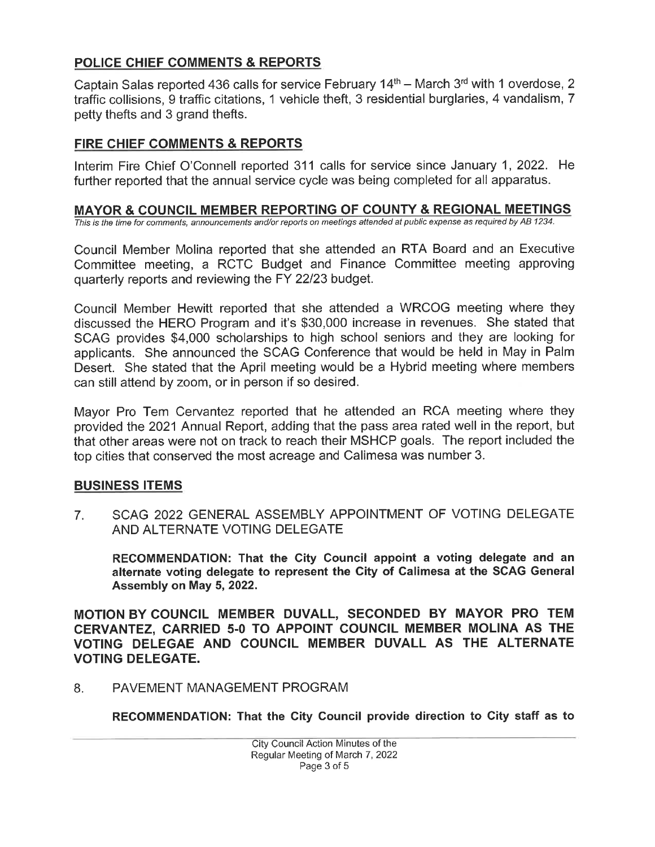## POLICE CHIEF COMMENTS & REPORTS

Captain Salas reported 436 calls for service February  $14<sup>th</sup>$  – March 3<sup>rd</sup> with 1 overdose, 2 traffic collisions, 9 traffic citations, 1 vehicle theft, 3 residential burglaries, 4 vandalism, 7 petty thefts and 3 grand thefts.

## FIRE CHIEF COMMENTS & REPORTS

Interim Fire Chief O'Connell reported 311 calls for service since January 1, 2022. He further reported that the annual service cycle was being completed for all apparatus.

## MAYOR & COUNCIL MEMBER REPORTING OF COUNTY & REGIONAL MEETINGS

This is the time for comments, announcements and/or reports on meetings attended at public expense as required by AB 1234.

Council Member Molina reported that she attended an RTA Board and an Executive Committee meeting, a RCTC Budget and Finance Committee meeting approving quarterly reports and reviewing the FY 22/23 budget.

Council Member Hewitt reported that she attended a WRCOG meeting where they discussed the HERO Program and it's \$30,000 increase in revenues. She stated that SCAG provides \$4,000 scholarships to high school seniors and they are looking for applicants. She announced the SCAG Conference that would be held in May in Palm Desert. She stated that the April meeting would be a Hybrid meeting where members can still attend by zoom, or in person if so desired.

Mayor Pro Tem Cervantez reported that he attended an RCA meeting where they provided the 2021 Annual Report, adding that the pass area rated well in the report, but that other areas were not on track to reach their MSHCP goals. The report included the top cities that conserved the most acreage and Calimesa was number 3.

## **BUSINESS ITEMS**

SCAG 2022 GENERAL ASSEMBLY APPOINTMENT OF VOTING DELEGATE  $7<sub>1</sub>$ AND ALTERNATE VOTING DELEGATE

RECOMMENDATION: That the City Council appoint a voting delegate and an alternate voting delegate to represent the City of Calimesa at the SCAG General Assembly on May 5, 2022.

MOTION BY COUNCIL MEMBER DUVALL, SECONDED BY MAYOR PRO TEM CERVANTEZ, CARRIED 5-0 TO APPOINT COUNCIL MEMBER MOLINA AS THE VOTING DELEGAE AND COUNCIL MEMBER DUVALL AS THE ALTERNATE **VOTING DELEGATE.** 

8. PAVEMENT MANAGEMENT PROGRAM

RECOMMENDATION: That the City Council provide direction to City staff as to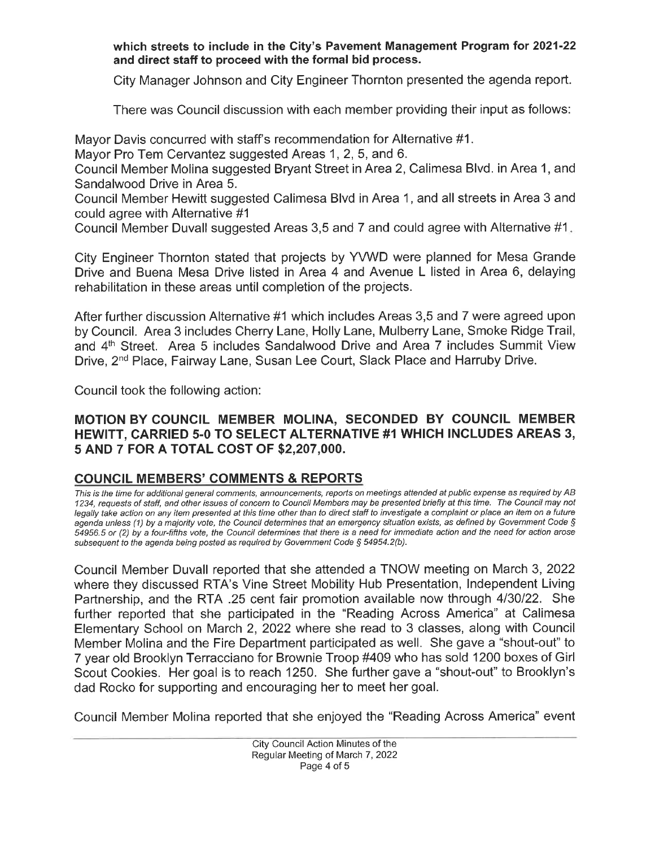which streets to include in the City's Pavement Management Program for 2021-22 and direct staff to proceed with the formal bid process.

City Manager Johnson and City Engineer Thornton presented the agenda report.

There was Council discussion with each member providing their input as follows:

Mayor Davis concurred with staff's recommendation for Alternative #1.

Mayor Pro Tem Cervantez suggested Areas 1, 2, 5, and 6.

Council Member Molina suggested Bryant Street in Area 2, Calimesa Blvd. in Area 1, and Sandalwood Drive in Area 5.

Council Member Hewitt suggested Calimesa Blvd in Area 1, and all streets in Area 3 and could agree with Alternative #1

Council Member Duvall suggested Areas 3,5 and 7 and could agree with Alternative #1.

City Engineer Thornton stated that projects by YVWD were planned for Mesa Grande Drive and Buena Mesa Drive listed in Area 4 and Avenue L listed in Area 6, delaying rehabilitation in these areas until completion of the projects.

After further discussion Alternative #1 which includes Areas 3,5 and 7 were agreed upon by Council. Area 3 includes Cherry Lane, Holly Lane, Mulberry Lane, Smoke Ridge Trail, and 4<sup>th</sup> Street. Area 5 includes Sandalwood Drive and Area 7 includes Summit View Drive, 2<sup>nd</sup> Place, Fairway Lane, Susan Lee Court, Slack Place and Harruby Drive.

Council took the following action:

## MOTION BY COUNCIL MEMBER MOLINA, SECONDED BY COUNCIL MEMBER **HEWITT, CARRIED 5-0 TO SELECT ALTERNATIVE #1 WHICH INCLUDES AREAS 3,** 5 AND 7 FOR A TOTAL COST OF \$2,207,000.

## **COUNCIL MEMBERS' COMMENTS & REPORTS**

This is the time for additional general comments, announcements, reports on meetings attended at public expense as required by AB 1234, requests of staff, and other issues of concern to Council Members may be presented briefly at this time. The Council may not legally take action on any item presented at this time other than to direct staff to investigate a complaint or place an item on a future agenda unless (1) by a majority vote, the Council determines that an emergency situation exists, as defined by Government Code § 54956.5 or (2) by a four-fifths vote, the Council determines that there is a need for immediate action and the need for action arose subsequent to the agenda being posted as required by Government Code § 54954.2(b).

Council Member Duvall reported that she attended a TNOW meeting on March 3, 2022 where they discussed RTA's Vine Street Mobility Hub Presentation, Independent Living Partnership, and the RTA .25 cent fair promotion available now through 4/30/22. She further reported that she participated in the "Reading Across America" at Calimesa Elementary School on March 2, 2022 where she read to 3 classes, along with Council Member Molina and the Fire Department participated as well. She gave a "shout-out" to 7 year old Brooklyn Terracciano for Brownie Troop #409 who has sold 1200 boxes of Girl Scout Cookies. Her goal is to reach 1250. She further gave a "shout-out" to Brooklyn's dad Rocko for supporting and encouraging her to meet her goal.

Council Member Molina reported that she enjoyed the "Reading Across America" event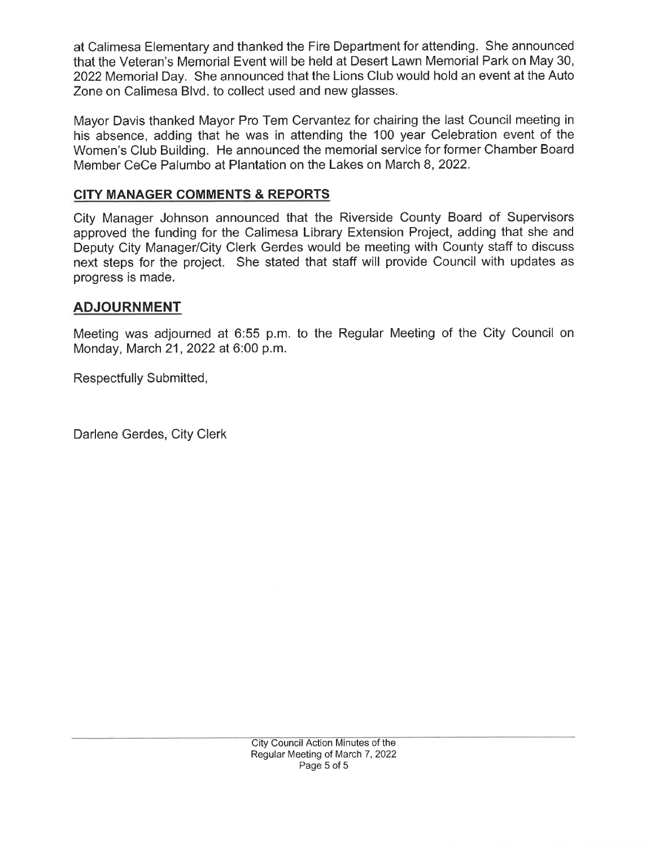at Calimesa Elementary and thanked the Fire Department for attending. She announced that the Veteran's Memorial Event will be held at Desert Lawn Memorial Park on May 30, 2022 Memorial Day. She announced that the Lions Club would hold an event at the Auto Zone on Calimesa Blvd. to collect used and new glasses.

Mayor Davis thanked Mayor Pro Tem Cervantez for chairing the last Council meeting in his absence, adding that he was in attending the 100 year Celebration event of the Women's Club Building. He announced the memorial service for former Chamber Board Member CeCe Palumbo at Plantation on the Lakes on March 8, 2022.

## **CITY MANAGER COMMENTS & REPORTS**

City Manager Johnson announced that the Riverside County Board of Supervisors approved the funding for the Calimesa Library Extension Project, adding that she and Deputy City Manager/City Clerk Gerdes would be meeting with County staff to discuss next steps for the project. She stated that staff will provide Council with updates as progress is made.

## **ADJOURNMENT**

Meeting was adjourned at 6:55 p.m. to the Regular Meeting of the City Council on Monday, March 21, 2022 at 6:00 p.m.

Respectfully Submitted,

Darlene Gerdes, City Clerk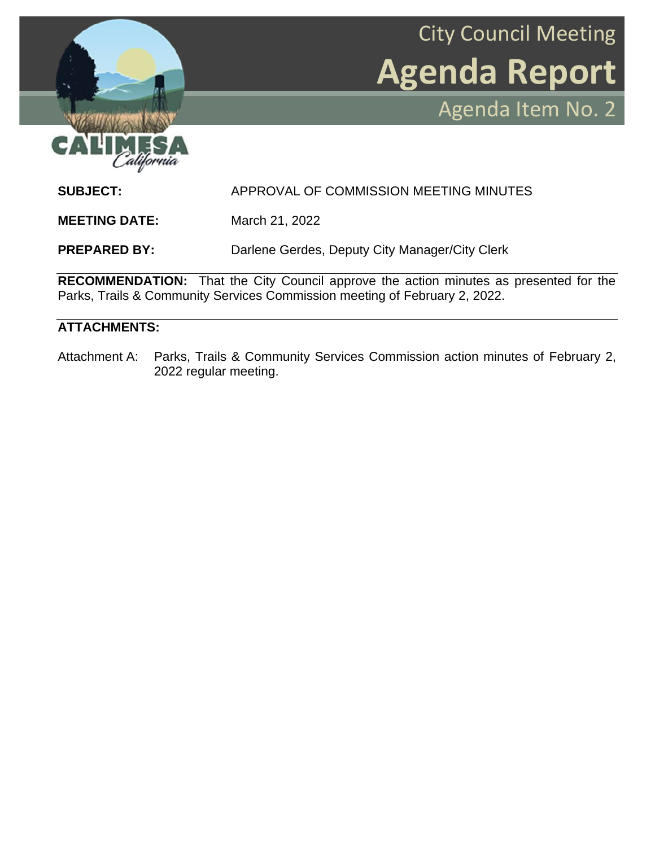

City Council Meeting **Agenda Report** Agenda Item No. 2

**SUBJECT:** APPROVAL OF COMMISSION MEETING MINUTES

**MEETING DATE:** March 21, 2022

**PREPARED BY:** Darlene Gerdes, Deputy City Manager/City Clerk

**RECOMMENDATION:** That the City Council approve the action minutes as presented for the Parks, Trails & Community Services Commission meeting of February 2, 2022.

#### **ATTACHMENTS:**

Attachment A: Parks, Trails & Community Services Commission action minutes of February 2, 2022 regular meeting.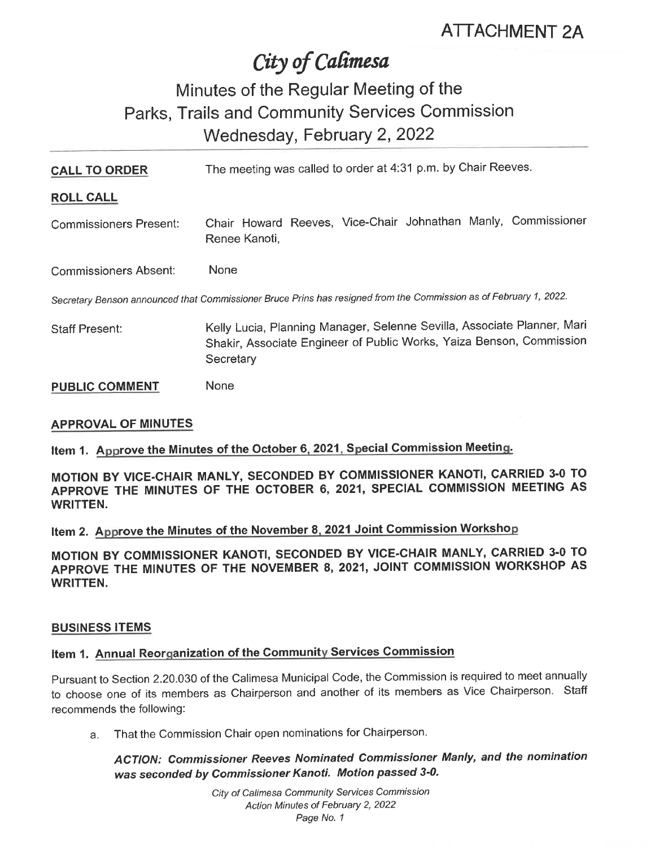# City of Calimesa

## Minutes of the Regular Meeting of the Parks, Trails and Community Services Commission Wednesday, February 2, 2022

| <b>CALL TO ORDER</b>          | The meeting was called to order at 4:31 p.m. by Chair Reeves.                                                                                                |  |  |  |  |  |  |
|-------------------------------|--------------------------------------------------------------------------------------------------------------------------------------------------------------|--|--|--|--|--|--|
| <b>ROLL CALL</b>              |                                                                                                                                                              |  |  |  |  |  |  |
| <b>Commissioners Present:</b> | Chair Howard Reeves, Vice-Chair Johnathan Manly, Commissioner<br>Renee Kanoti,                                                                               |  |  |  |  |  |  |
| <b>Commissioners Absent:</b>  | None                                                                                                                                                         |  |  |  |  |  |  |
|                               | Secretary Benson announced that Commissioner Bruce Prins has resigned from the Commission as of February 1, 2022.                                            |  |  |  |  |  |  |
| <b>Staff Present:</b>         | Kelly Lucia, Planning Manager, Selenne Sevilla, Associate Planner, Mari<br>Shakir, Associate Engineer of Public Works, Yaiza Benson, Commission<br>Secretary |  |  |  |  |  |  |
| <b>PUBLIC COMMENT</b>         | None                                                                                                                                                         |  |  |  |  |  |  |

#### **APPROVAL OF MINUTES**

Item 1. Approve the Minutes of the October 6, 2021, Special Commission Meeting.

MOTION BY VICE-CHAIR MANLY, SECONDED BY COMMISSIONER KANOTI, CARRIED 3-0 TO APPROVE THE MINUTES OF THE OCTOBER 6, 2021, SPECIAL COMMISSION MEETING AS **WRITTEN.** 

Item 2. Approve the Minutes of the November 8, 2021 Joint Commission Workshop

MOTION BY COMMISSIONER KANOTI, SECONDED BY VICE-CHAIR MANLY, CARRIED 3-0 TO APPROVE THE MINUTES OF THE NOVEMBER 8, 2021, JOINT COMMISSION WORKSHOP AS **WRITTEN.** 

#### **BUSINESS ITEMS**

## Item 1. Annual Reorganization of the Community Services Commission

Pursuant to Section 2.20.030 of the Calimesa Municipal Code, the Commission is required to meet annually to choose one of its members as Chairperson and another of its members as Vice Chairperson. Staff recommends the following:

That the Commission Chair open nominations for Chairperson. a.

ACTION: Commissioner Reeves Nominated Commissioner Manly, and the nomination was seconded by Commissioner Kanoti. Motion passed 3-0.

> City of Calimesa Community Services Commission Action Minutes of February 2, 2022 Page No. 1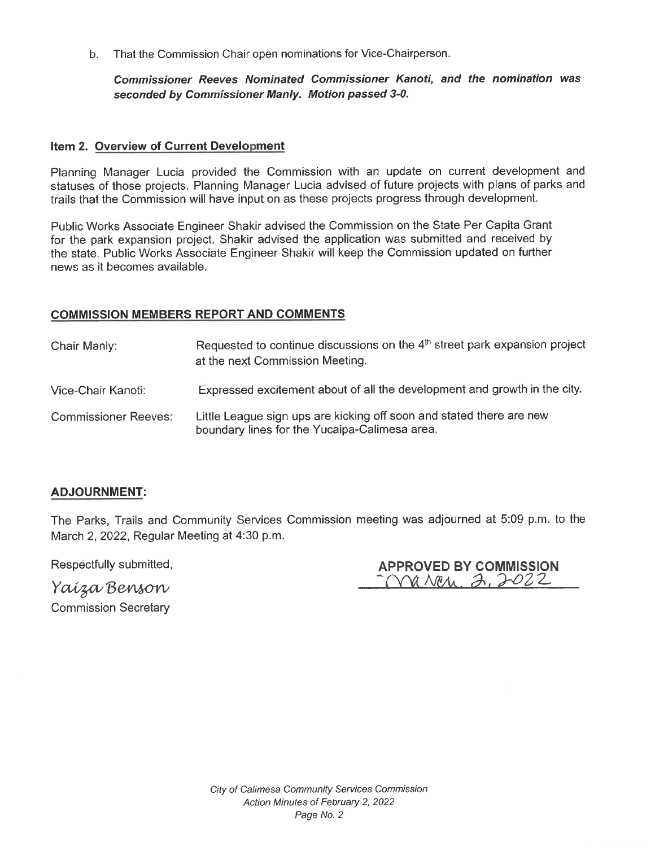That the Commission Chair open nominations for Vice-Chairperson.  $b.$ 

#### Commissioner Reeves Nominated Commissioner Kanoti, and the nomination was seconded by Commissioner Manly. Motion passed 3-0.

#### Item 2. Overview of Current Development

Planning Manager Lucia provided the Commission with an update on current development and statuses of those projects. Planning Manager Lucia advised of future projects with plans of parks and trails that the Commission will have input on as these projects progress through development.

Public Works Associate Engineer Shakir advised the Commission on the State Per Capita Grant for the park expansion project. Shakir advised the application was submitted and received by the state. Public Works Associate Engineer Shakir will keep the Commission updated on further news as it becomes available.

#### **COMMISSION MEMBERS REPORT AND COMMENTS**

Requested to continue discussions on the 4<sup>th</sup> street park expansion project Chair Manly: at the next Commission Meeting. Expressed excitement about of all the development and growth in the city. Vice-Chair Kanoti: **Commissioner Reeves:** Little League sign ups are kicking off soon and stated there are new boundary lines for the Yucaipa-Calimesa area.

#### **ADJOURNMENT:**

The Parks, Trails and Community Services Commission meeting was adjourned at 5:09 p.m. to the March 2, 2022, Regular Meeting at 4:30 p.m.

Respectfully submitted,

| <b>APPROVED BY COMMISSION</b> |  |
|-------------------------------|--|
| March 2,2022                  |  |

Yaiza Benson **Commission Secretary**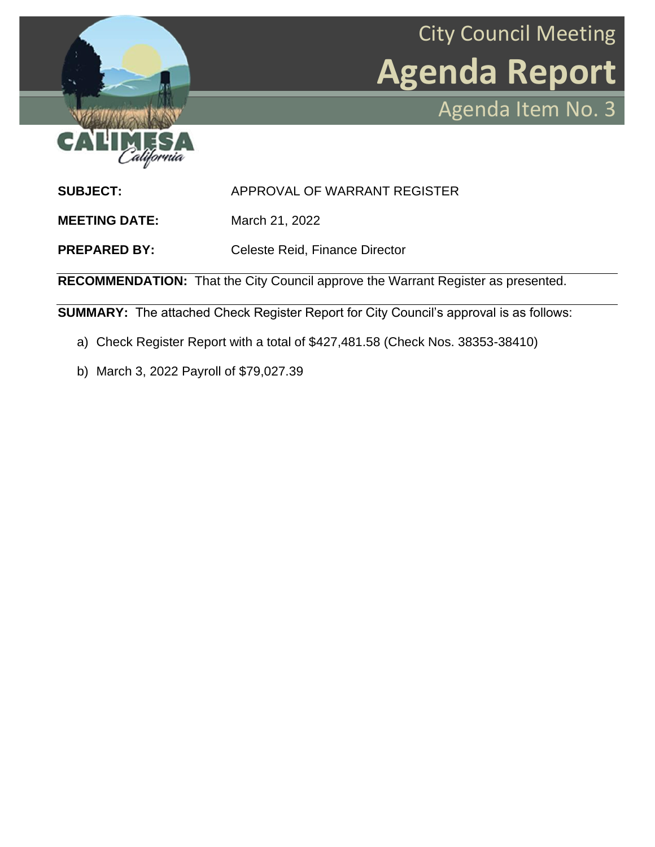



**SUBJECT:** APPROVAL OF WARRANT REGISTER

**MEETING DATE:** March 21, 2022

**PREPARED BY:** Celeste Reid, Finance Director

**RECOMMENDATION:** That the City Council approve the Warrant Register as presented.

**SUMMARY:** The attached Check Register Report for City Council's approval is as follows:

- a) Check Register Report with a total of \$427,481.58 (Check Nos. 38353-38410)
- b) March 3, 2022 Payroll of \$79,027.39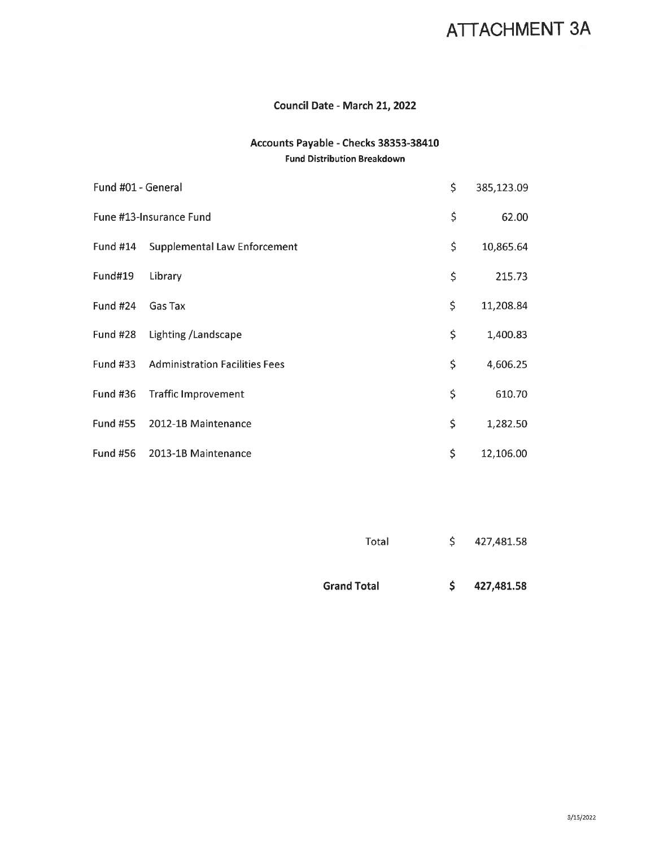## ATTACHMENT 3A

#### Council Date - March 21, 2022

#### Accounts Payable - Checks 38353-38410 **Fund Distribution Breakdown**

| Fund #01 - General |                                                | \$<br>385,123.09 |
|--------------------|------------------------------------------------|------------------|
|                    | Fune #13-Insurance Fund                        | \$<br>62.00      |
| <b>Fund #14</b>    | <b>Supplemental Law Enforcement</b>            | \$<br>10,865.64  |
| Fund#19            | Library                                        | \$<br>215.73     |
| Fund #24           | Gas Tax                                        | \$<br>11,208.84  |
| Fund #28           | Lighting / Landscape                           | \$<br>1,400.83   |
|                    | <b>Fund #33 Administration Facilities Fees</b> | \$<br>4,606.25   |
| <b>Fund #36</b>    | <b>Traffic Improvement</b>                     | \$<br>610.70     |
| <b>Fund #55</b>    | 2012-1B Maintenance                            | \$<br>1,282.50   |
| <b>Fund #56</b>    | 2013-1B Maintenance                            | \$<br>12,106.00  |

| Total              | S. | 427,481.58 |
|--------------------|----|------------|
| <b>Grand Total</b> | S. | 427,481.58 |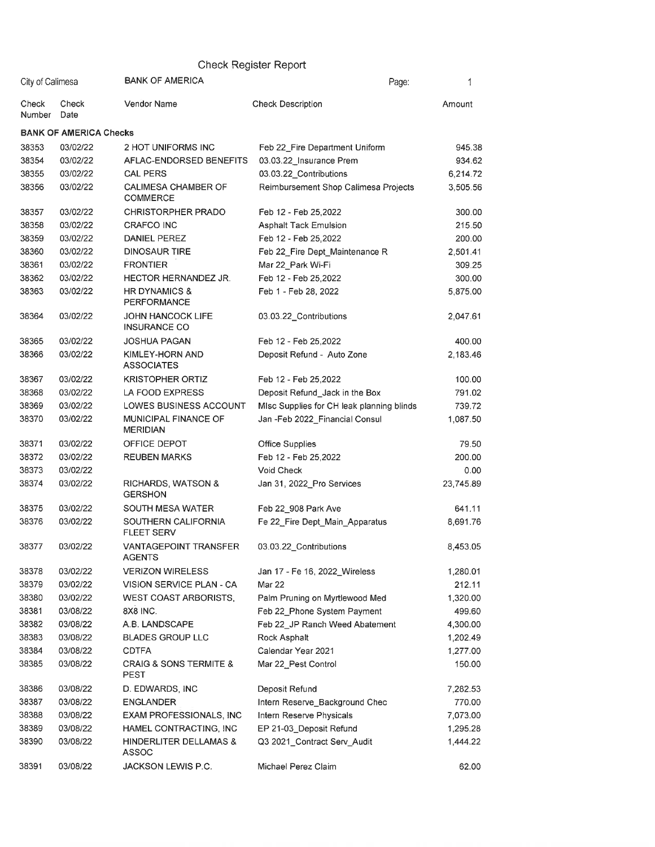|                  |                               |                                                      | <b>Check Register Report</b>              |           |
|------------------|-------------------------------|------------------------------------------------------|-------------------------------------------|-----------|
| City of Calimesa |                               | <b>BANK OF AMERICA</b>                               | Page:                                     | 1         |
| Check<br>Number  | Check<br>Date                 | Vendor Name                                          | <b>Check Description</b>                  | Amount    |
|                  | <b>BANK OF AMERICA Checks</b> |                                                      |                                           |           |
| 38353            | 03/02/22                      | 2 HOT UNIFORMS INC                                   | Feb 22_Fire Department Uniform            | 945.38    |
| 38354            | 03/02/22                      | AFLAC-ENDORSED BENEFITS                              | 03.03.22_Insurance Prem                   | 934.62    |
| 38355            | 03/02/22                      | <b>CAL PERS</b>                                      | 03.03.22 Contributions                    | 6,214.72  |
| 38356            | 03/02/22                      | <b>CALIMESA CHAMBER OF</b><br><b>COMMERCE</b>        | Reimbursement Shop Calimesa Projects      | 3,505.56  |
| 38357            | 03/02/22                      | CHRISTORPHER PRADO                                   | Feb 12 - Feb 25,2022                      | 300.00    |
| 38358            | 03/02/22                      | <b>CRAFCO INC</b>                                    | <b>Asphalt Tack Emulsion</b>              | 215.50    |
| 38359            | 03/02/22                      | DANIEL PEREZ                                         | Feb 12 - Feb 25,2022                      | 200.00    |
| 38360            | 03/02/22                      | <b>DINOSAUR TIRE</b>                                 | Feb 22_Fire Dept_Maintenance R            | 2,501.41  |
| 38361            | 03/02/22                      | <b>FRONTIER</b>                                      | Mar 22 Park Wi-Fi                         | 309.25    |
| 38362            | 03/02/22                      | HECTOR HERNANDEZ JR.                                 | Feb 12 - Feb 25,2022                      | 300.00    |
| 38363            | 03/02/22                      | HR DYNAMICS &<br><b>PERFORMANCE</b>                  | Feb 1 - Feb 28, 2022                      | 5,875.00  |
| 38364            | 03/02/22                      | JOHN HANCOCK LIFE<br><b>INSURANCE CO</b>             | 03.03.22_Contributions                    | 2,047.61  |
| 38365            | 03/02/22                      | <b>JOSHUA PAGAN</b>                                  | Feb 12 - Feb 25,2022                      | 400.00    |
| 38366            | 03/02/22                      | <b>KIMLEY-HORN AND</b><br><b>ASSOCIATES</b>          | Deposit Refund - Auto Zone                | 2,183.46  |
| 38367            | 03/02/22                      | <b>KRISTOPHER ORTIZ</b>                              | Feb 12 - Feb 25,2022                      | 100.00    |
| 38368            | 03/02/22                      | LA FOOD EXPRESS                                      | Deposit Refund_Jack in the Box            | 791.02    |
| 38369            | 03/02/22                      | LOWES BUSINESS ACCOUNT                               | MIsc Supplies for CH leak planning blinds | 739.72    |
| 38370            | 03/02/22                      | MUNICIPAL FINANCE OF<br><b>MERIDIAN</b>              | Jan -Feb 2022_Financial Consul            | 1,087.50  |
| 38371            | 03/02/22                      | OFFICE DEPOT                                         | Office Supplies                           | 79.50     |
| 38372            | 03/02/22                      | <b>REUBEN MARKS</b>                                  | Feb 12 - Feb 25,2022                      | 200.00    |
| 38373            | 03/02/22                      |                                                      | <b>Void Check</b>                         | 0.00      |
| 38374            | 03/02/22                      | RICHARDS, WATSON &<br><b>GERSHON</b>                 | Jan 31, 2022 Pro Services                 | 23,745.89 |
| 38375            | 03/02/22                      | SOUTH MESA WATER                                     | Feb 22 908 Park Ave                       | 641.11    |
| 38376            | 03/02/22                      | SOUTHERN CALIFORNIA<br><b>FLEET SERV</b>             | Fe 22_Fire Dept_Main_Apparatus            | 8,691.76  |
| 38377            | 03/02/22                      | <b>VANTAGEPOINT TRANSFER</b><br><b>AGENTS</b>        | 03.03.22 Contributions                    | 8,453.05  |
| 38378            | 03/02/22                      | <b>VERIZON WIRELESS</b>                              | Jan 17 - Fe 16, 2022 Wireless             | 1,280.01  |
| 38379            | 03/02/22                      | VISION SERVICE PLAN - CA                             | Mar 22                                    | 212.11    |
| 38380            | 03/02/22                      | <b>WEST COAST ARBORISTS,</b>                         | Palm Pruning on Myrtlewood Med            | 1,320.00  |
| 38381            | 03/08/22                      | 8X8 INC.                                             | Feb 22_Phone System Payment               | 499.60    |
| 38382            | 03/08/22                      | A.B. LANDSCAPE                                       | Feb 22 JP Ranch Weed Abatement            | 4,300.00  |
| 38383            | 03/08/22                      | <b>BLADES GROUP LLC</b>                              | Rock Asphalt                              | 1,202.49  |
| 38384            | 03/08/22                      | <b>CDTFA</b>                                         | Calendar Year 2021                        | 1,277.00  |
| 38385            | 03/08/22                      | <b>CRAIG &amp; SONS TERMITE &amp;</b><br><b>PEST</b> | Mar 22_Pest Control                       | 150.00    |
| 38386            | 03/08/22                      | D. EDWARDS, INC.                                     | Deposit Refund                            | 7,282.53  |
| 38387            | 03/08/22                      | <b>ENGLANDER</b>                                     | Intern Reserve_Background Chec            | 770.00    |
| 38388            | 03/08/22                      | <b>EXAM PROFESSIONALS, INC</b>                       | Intern Reserve Physicals                  | 7,073.00  |
| 38389            | 03/08/22                      | HAMEL CONTRACTING, INC                               | EP 21-03_Deposit Refund                   | 1,295.28  |
| 38390            | 03/08/22                      | HINDERLITER DELLAMAS &<br>ASSOC                      | Q3 2021_Contract Serv_Audit               | 1,444.22  |
| 38391            | 03/08/22                      | JACKSON LEWIS P.C.                                   | Michael Perez Claim                       | 62.00     |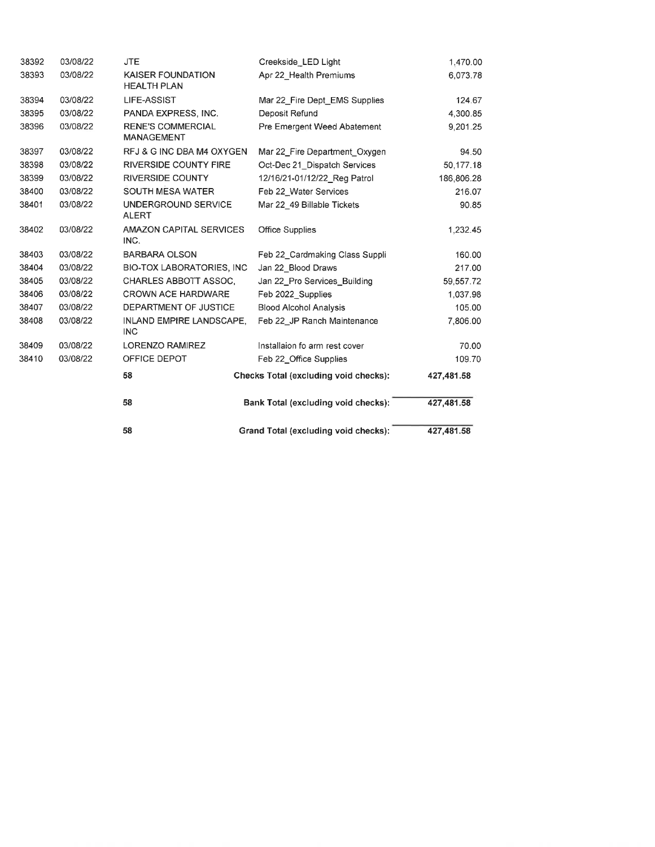|       |          | 58                                             | Grand Total (excluding void checks):  | 427,481.58 |
|-------|----------|------------------------------------------------|---------------------------------------|------------|
|       |          | 58                                             | Bank Total (excluding void checks):   | 427,481.58 |
|       |          | 58                                             | Checks Total (excluding void checks): | 427,481.58 |
| 38410 | 03/08/22 | OFFICE DEPOT                                   | Feb 22_Office Supplies                | 109.70     |
| 38409 | 03/08/22 | LORENZO RAMIREZ                                | Installaion fo arm rest cover         | 70.00      |
| 38408 | 03/08/22 | INLAND EMPIRE LANDSCAPE,<br><b>INC</b>         | Feb 22 JP Ranch Maintenance           | 7,806.00   |
| 38407 | 03/08/22 | DEPARTMENT OF JUSTICE                          | <b>Blood Alcohol Analysis</b>         | 105.00     |
| 38406 | 03/08/22 | <b>CROWN ACE HARDWARE</b>                      | Feb 2022 Supplies                     | 1,037.98   |
| 38405 | 03/08/22 | CHARLES ABBOTT ASSOC.                          | Jan 22_Pro Services_Building          | 59,557.72  |
| 38404 | 03/08/22 | <b>BIO-TOX LABORATORIES, INC.</b>              | Jan 22 Blood Draws                    | 217.00     |
| 38403 | 03/08/22 | <b>BARBARA OLSON</b>                           | Feb 22_Cardmaking Class Suppli        | 160.00     |
| 38402 | 03/08/22 | AMAZON CAPITAL SERVICES<br>INC.                | <b>Office Supplies</b>                | 1,232.45   |
| 38401 | 03/08/22 | UNDERGROUND SERVICE<br><b>ALERT</b>            | Mar 22 49 Billable Tickets            | 90.85      |
| 38400 | 03/08/22 | <b>SOUTH MESA WATER</b>                        | Feb 22_Water Services                 | 216.07     |
| 38399 | 03/08/22 | <b>RIVERSIDE COUNTY</b>                        | 12/16/21-01/12/22_Reg Patrol          | 186,806.28 |
| 38398 | 03/08/22 | <b>RIVERSIDE COUNTY FIRE</b>                   | Oct-Dec 21 Dispatch Services          | 50,177.18  |
| 38397 | 03/08/22 | RFJ & G INC DBA M4 OXYGEN                      | Mar 22_Fire Department Oxygen         | 94.50      |
| 38396 | 03/08/22 | <b>RENE'S COMMERCIAL</b><br>MANAGEMENT         | Pre Emergent Weed Abatement           | 9,201.25   |
| 38395 | 03/08/22 | PANDA EXPRESS, INC.                            | Deposit Refund                        | 4,300.85   |
| 38394 | 03/08/22 | LIFE-ASSIST                                    | Mar 22_Fire Dept_EMS Supplies         | 124.67     |
| 38393 | 03/08/22 | <b>KAISER FOUNDATION</b><br><b>HEALTH PLAN</b> | Apr 22_Health Premiums                | 6,073.78   |
| 38392 | 03/08/22 | <b>JTE</b>                                     | Creekside LED Light                   | 1,470.00   |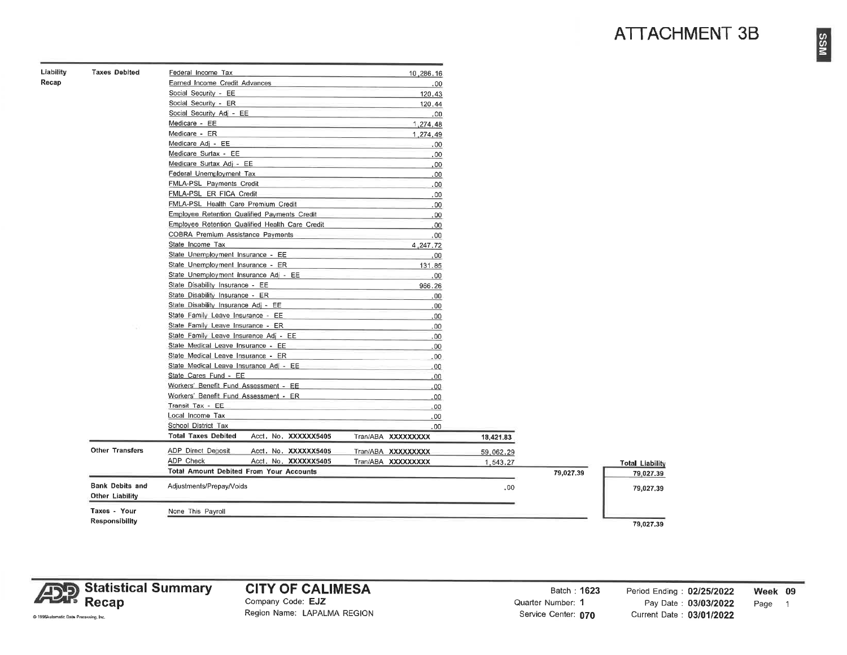## **ATTACHMENT 3B**

| Liability | <b>Taxes Debited</b> |  |
|-----------|----------------------|--|
| Recap     |                      |  |

| <b>Taxes Debited</b>   | Federal Income Tax                                 | 10,286.16          |           |           |
|------------------------|----------------------------------------------------|--------------------|-----------|-----------|
|                        | Earned Income Credit Advances                      | .00                |           |           |
|                        | Social Security - EE                               | 120,43             |           |           |
|                        | Social Security - ER                               | 120.44             |           |           |
|                        | Social Security Adj - EE                           | .00                |           |           |
|                        | Medicare - EE                                      | 1,274,48           |           |           |
|                        | Medicare - ER                                      | 1,274,49           |           |           |
|                        | Medicare Adj - EE                                  | .00.               |           |           |
|                        | Medicare Surtax - EE                               | .00                |           |           |
|                        | Medicare Surtax Adj - EE                           | ,00                |           |           |
|                        | Federal Unemployment Tax                           | .00                |           |           |
|                        | FMLA-PSL Payments Credit                           | .00                |           |           |
|                        | FMLA-PSL ER FICA Credit                            | .00                |           |           |
|                        | FMLA-PSL Health Care Premium Credit                | .00                |           |           |
|                        | Employee Retention Qualified Payments Credit       | .00                |           |           |
|                        | Employee Retention Qualified Health Care Credit    | .00                |           |           |
|                        | COBRA Premium Assistance Payments                  | .00                |           |           |
|                        | State Income Tax                                   | 4,247.72           |           |           |
|                        | State Unemployment Insurance - EE                  | .00.               |           |           |
|                        | State Unemployment Insurance - ER                  | 131.85             |           |           |
|                        | State Unemployment Insurance Adj - EE              | .00.               |           |           |
|                        | State Disability Insurance - EE                    | 966.26             |           |           |
|                        | State Disability Insurance - ER                    | .00                |           |           |
|                        | State Disability Insurance Adj - EE                | .00                |           |           |
|                        | State Family Leave Insurance - EE                  | .00                |           |           |
|                        | State Family Leave Insurance - ER                  | .00                |           |           |
|                        | State Family Leave Insurance Adj - EE              | .00                |           |           |
|                        | State Medical Leave Insurance - EE                 | .00                |           |           |
|                        | State Medical Leave Insurance - ER                 | .00                |           |           |
|                        | State Medical Leave Insurance Adj - EE             | .00                |           |           |
|                        | State Cares Fund - EE                              | .00                |           |           |
|                        | Workers' Benefit Fund Assessment - EE              | 00.                |           |           |
|                        | Workers' Benefit Fund Assessment - ER              |                    |           |           |
|                        | Transit Tax - EE                                   | .00                |           |           |
|                        | Local Income Tax                                   | .00                |           |           |
|                        | School District Tax                                | ,00                |           |           |
|                        | <b>Total Taxes Debited</b><br>Acci, No. XXXXXX5405 | .00                |           |           |
|                        |                                                    | Tran/ABA XXXXXXXXX | 18,421.83 |           |
| <b>Other Transfers</b> | <b>ADP Direct Deposit</b><br>Acci. No. XXXXXX5405  | Tran/ABA XXXXXXXXX | 59,062.29 |           |
|                        | ADP Check<br>Acct. No. XXXXXX5405                  | Tran/ABA XXXXXXXXX | 1,543.27  |           |
|                        | Total Amount Debited From Your Accounts            |                    |           | 79,027.39 |
| <b>Bank Debits and</b> | Adjustments/Prepay/Voids                           |                    | .00       |           |
| <b>Other Liability</b> |                                                    |                    |           |           |
| Taxes - Your           | None This Payroll                                  |                    |           |           |
|                        |                                                    |                    |           |           |



#### **CITY OF CALIMESA** Company Code: EJZ

Region Name: LAPALMA REGION

Batch: 1623 Quarter Number: 1 Service Center: 070

Period Ending: 02/25/2022 Week 09 Pay Date: 03/03/2022 Page 1 Current Date: 03/01/2022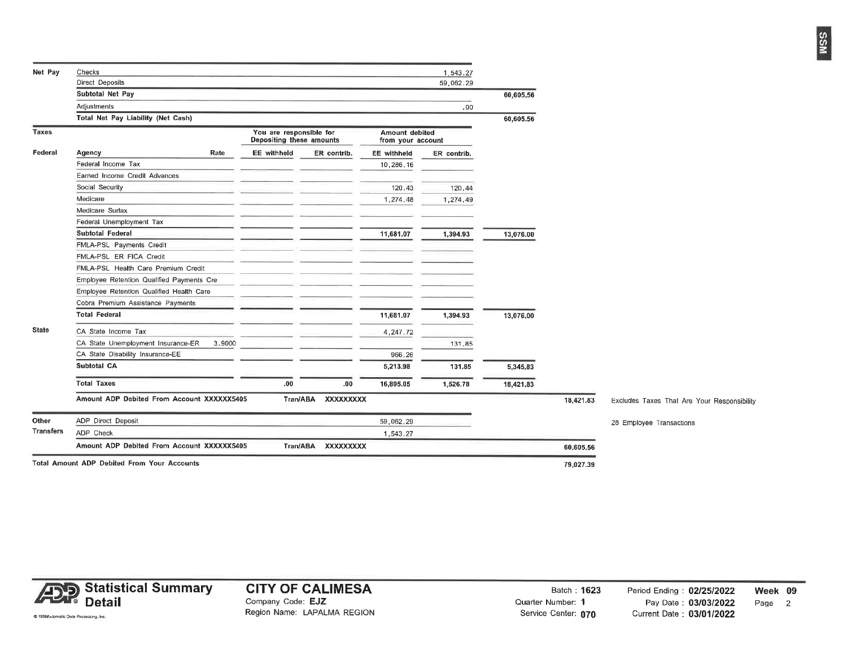| Net Pay      | Checks                                             |        |                                                     |                    |                  |                                     | 1,543.27    |           |           |                                             |
|--------------|----------------------------------------------------|--------|-----------------------------------------------------|--------------------|------------------|-------------------------------------|-------------|-----------|-----------|---------------------------------------------|
|              | Direct Deposits                                    |        |                                                     |                    |                  |                                     | 59,062.29   |           |           |                                             |
|              | Subtotal Net Pay                                   |        |                                                     |                    |                  |                                     |             |           |           |                                             |
|              | Adjustments                                        |        |                                                     |                    |                  |                                     | 00،         |           |           |                                             |
|              | Total Net Pay Liability (Net Cash)                 |        |                                                     |                    |                  |                                     |             | 60,605.56 |           |                                             |
| <b>Taxes</b> |                                                    |        | You are responsible for<br>Depositing these amounts |                    |                  | Amount debited<br>from your account |             |           |           |                                             |
| Federal      | Rate<br>Agency                                     |        | <b>EE</b> withheld                                  | ER contrib.        |                  | <b>EE</b> withheld                  | ER contrib. |           |           |                                             |
|              | Federal Income Tax                                 |        |                                                     |                    |                  | 10,286.16                           |             |           |           |                                             |
|              | Earned Income Credit Advances                      |        |                                                     |                    |                  |                                     |             |           |           |                                             |
|              | Social Security                                    |        |                                                     |                    |                  | 120,43                              | 120,44      |           |           |                                             |
|              | Medicare                                           |        |                                                     |                    |                  | 1,274.48                            | 1,274.49    |           |           |                                             |
|              | Medicare Surtax                                    |        |                                                     |                    |                  |                                     |             |           |           |                                             |
|              | Federal Unemployment Tax                           |        |                                                     |                    |                  |                                     |             |           |           |                                             |
|              | <b>Subtotal Federal</b>                            |        |                                                     |                    |                  | 11,681.07                           | 1,394.93    | 13,076.00 |           |                                             |
|              | FMLA-PSL Payments Credit                           |        |                                                     |                    |                  |                                     |             |           |           |                                             |
|              | FMLA-PSL ER FICA Credit                            |        |                                                     |                    |                  |                                     |             |           |           |                                             |
|              | FMLA-PSL Health Care Premium Credit                |        |                                                     |                    |                  |                                     |             |           |           |                                             |
|              | Employee Retention Qualified Payments Cre          |        |                                                     |                    |                  |                                     |             |           |           |                                             |
|              | Employee Retention Qualified Health Care           |        |                                                     |                    |                  |                                     |             |           |           |                                             |
|              | Cobra Premium Assistance Payments                  |        |                                                     |                    |                  |                                     |             |           |           |                                             |
|              | <b>Total Federal</b>                               |        |                                                     |                    |                  | 11,681.07                           | 1,394.93    | 13,076.00 |           |                                             |
| <b>State</b> | CA State Income Tax                                |        |                                                     |                    |                  | 4,247.72                            |             |           |           |                                             |
|              | CA State Unemployment Insurance-ER                 | 3,9000 |                                                     |                    |                  |                                     | 131,85      |           |           |                                             |
|              | CA State Disability Insurance-EE                   |        |                                                     |                    |                  | 966,26                              |             |           |           |                                             |
|              | <b>Subtotal CA</b>                                 |        |                                                     |                    |                  | 5,213.98                            | 131,85      | 5,345.83  |           |                                             |
|              | <b>Total Taxes</b>                                 |        | .00.                                                |                    | .00              | 16,895.05                           | 1,526.78    | 18,421.83 |           |                                             |
|              | Amount ADP Debited From Account XXXXXX5405         |        |                                                     | Tran/ABA           | <b>XXXXXXXXX</b> |                                     |             |           | 18,421.83 | Excludes Taxes That Are Your Responsibility |
| Other        | ADP Direct Deposit                                 |        |                                                     |                    |                  | 59,062,29                           |             |           |           | 28 Employee Transactions                    |
| Transfers    | ADP Check                                          |        |                                                     |                    |                  | 1,543.27                            |             |           |           |                                             |
|              | Amount ADP Debited From Account XXXXXX5405         |        |                                                     | Tran/ABA XXXXXXXXX |                  |                                     |             |           | 60,605.56 |                                             |
|              | <b>Total Amount ADP Debited From Your Accounts</b> |        |                                                     |                    |                  |                                     |             |           | 79.027.39 |                                             |



Batch: 1623 Quarter Number: 1 Service Center: 070

@ 1996Automatic Data Processing, Inc.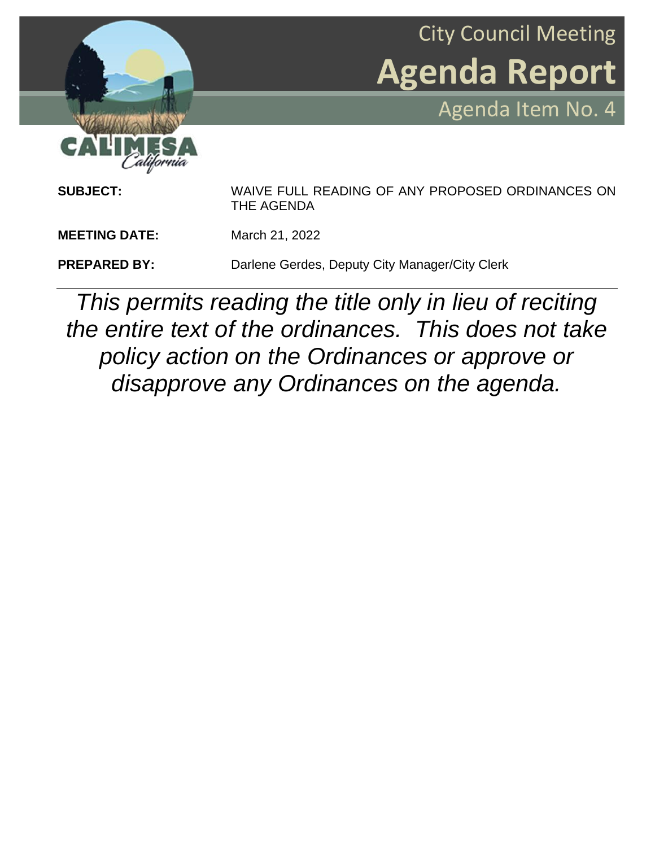



**SUBJECT:** WAIVE FULL READING OF ANY PROPOSED ORDINANCES ON THE AGENDA **MEETING DATE:** March 21, 2022 **PREPARED BY:** Darlene Gerdes, Deputy City Manager/City Clerk

*This permits reading the title only in lieu of reciting the entire text of the ordinances. This does not take policy action on the Ordinances or approve or disapprove any Ordinances on the agenda.*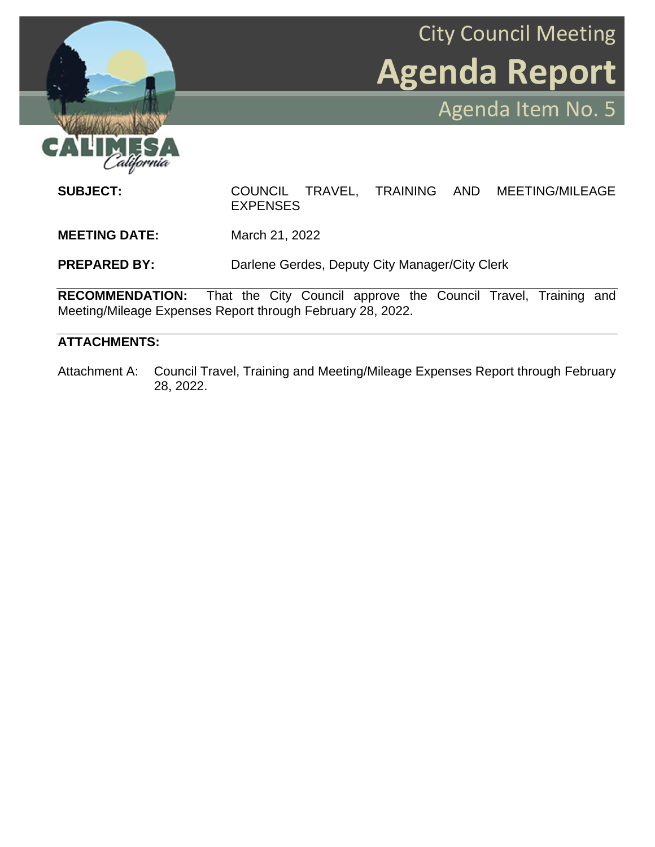

**SUBJECT:** COUNCIL TRAVEL, TRAINING AND MEETING/MILEAGE EXPENSES **MEETING DATE:** March 21, 2022

City Council Meeting

Agenda Item No. 5

**Agenda Report**

**PREPARED BY:** Darlene Gerdes, Deputy City Manager/City Clerk

**RECOMMENDATION:** That the City Council approve the Council Travel, Training and Meeting/Mileage Expenses Report through February 28, 2022.

## **ATTACHMENTS:**

Attachment A: Council Travel, Training and Meeting/Mileage Expenses Report through February 28, 2022.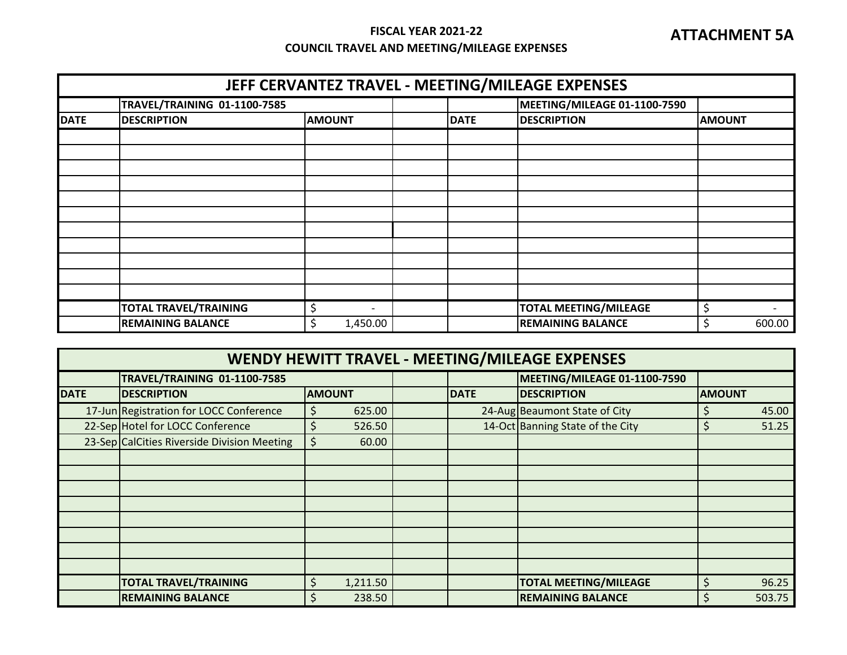## **FISCAL YEAR 2021-22 COUNCIL TRAVEL AND MEETING/MILEAGE EXPENSES**

| JEFF CERVANTEZ TRAVEL - MEETING/MILEAGE EXPENSES |                              |                |  |             |                              |               |        |  |
|--------------------------------------------------|------------------------------|----------------|--|-------------|------------------------------|---------------|--------|--|
|                                                  | TRAVEL/TRAINING 01-1100-7585 |                |  |             | MEETING/MILEAGE 01-1100-7590 |               |        |  |
| <b>DATE</b>                                      | <b>DESCRIPTION</b>           | <b>AMOUNT</b>  |  | <b>DATE</b> | <b>DESCRIPTION</b>           | <b>AMOUNT</b> |        |  |
|                                                  |                              |                |  |             |                              |               |        |  |
|                                                  |                              |                |  |             |                              |               |        |  |
|                                                  |                              |                |  |             |                              |               |        |  |
|                                                  |                              |                |  |             |                              |               |        |  |
|                                                  |                              |                |  |             |                              |               |        |  |
|                                                  |                              |                |  |             |                              |               |        |  |
|                                                  |                              |                |  |             |                              |               |        |  |
|                                                  |                              |                |  |             |                              |               |        |  |
|                                                  |                              |                |  |             |                              |               |        |  |
|                                                  |                              |                |  |             |                              |               |        |  |
|                                                  |                              |                |  |             |                              |               |        |  |
|                                                  | <b>TOTAL TRAVEL/TRAINING</b> |                |  |             | <b>TOTAL MEETING/MILEAGE</b> | \$            |        |  |
|                                                  | <b>REMAINING BALANCE</b>     | \$<br>1,450.00 |  |             | <b>REMAINING BALANCE</b>     | \$            | 600.00 |  |

| WENDY HEWITT TRAVEL - MEETING/MILEAGE EXPENSES |                                             |                |  |             |                                  |               |        |  |
|------------------------------------------------|---------------------------------------------|----------------|--|-------------|----------------------------------|---------------|--------|--|
|                                                | TRAVEL/TRAINING 01-1100-7585                |                |  |             | MEETING/MILEAGE 01-1100-7590     |               |        |  |
| <b>DATE</b>                                    | <b>DESCRIPTION</b>                          | <b>AMOUNT</b>  |  | <b>DATE</b> | <b>DESCRIPTION</b>               | <b>AMOUNT</b> |        |  |
|                                                | 17-Jun Registration for LOCC Conference     | 625.00<br>\$   |  |             | 24-Aug Beaumont State of City    |               | 45.00  |  |
|                                                | 22-Sep Hotel for LOCC Conference            | 526.50<br>S    |  |             | 14-Oct Banning State of the City |               | 51.25  |  |
|                                                | 23-Sep CalCities Riverside Division Meeting | \$<br>60.00    |  |             |                                  |               |        |  |
|                                                |                                             |                |  |             |                                  |               |        |  |
|                                                |                                             |                |  |             |                                  |               |        |  |
|                                                |                                             |                |  |             |                                  |               |        |  |
|                                                |                                             |                |  |             |                                  |               |        |  |
|                                                |                                             |                |  |             |                                  |               |        |  |
|                                                |                                             |                |  |             |                                  |               |        |  |
|                                                |                                             |                |  |             |                                  |               |        |  |
|                                                |                                             |                |  |             |                                  |               |        |  |
|                                                | <b>TOTAL TRAVEL/TRAINING</b>                | 1,211.50<br>\$ |  |             | <b>TOTAL MEETING/MILEAGE</b>     | Ś             | 96.25  |  |
|                                                | <b>REMAINING BALANCE</b>                    | 238.50<br>\$   |  |             | <b>REMAINING BALANCE</b>         |               | 503.75 |  |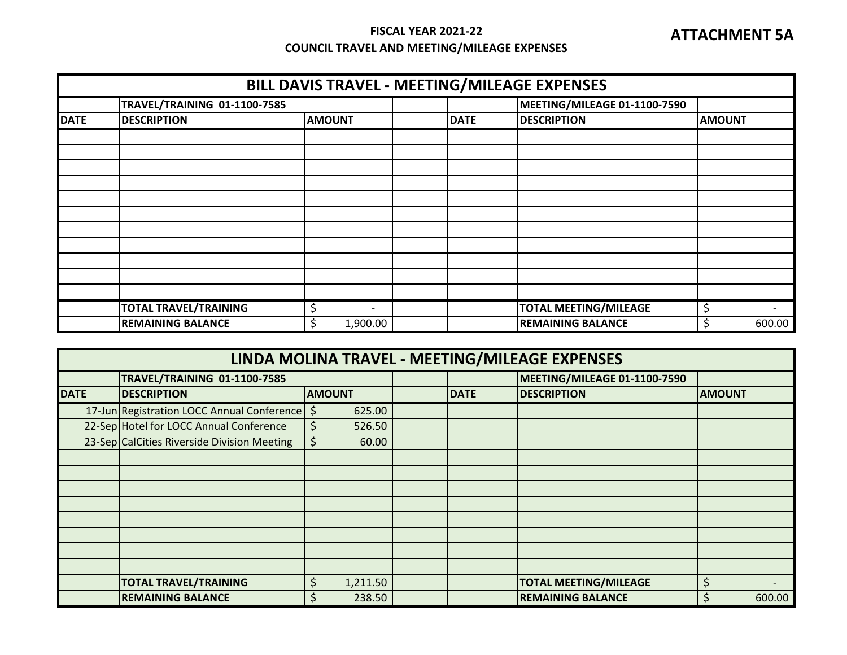## **FISCAL YEAR 2021-22 COUNCIL TRAVEL AND MEETING/MILEAGE EXPENSES**

|             | BILL DAVIS TRAVEL - MEETING/MILEAGE EXPENSES |                                |             |                              |               |  |  |  |  |
|-------------|----------------------------------------------|--------------------------------|-------------|------------------------------|---------------|--|--|--|--|
|             | <b>TRAVEL/TRAINING 01-1100-7585</b>          |                                |             | MEETING/MILEAGE 01-1100-7590 |               |  |  |  |  |
| <b>DATE</b> | <b>DESCRIPTION</b>                           | <b>AMOUNT</b>                  | <b>DATE</b> | <b>DESCRIPTION</b>           | <b>AMOUNT</b> |  |  |  |  |
|             |                                              |                                |             |                              |               |  |  |  |  |
|             |                                              |                                |             |                              |               |  |  |  |  |
|             |                                              |                                |             |                              |               |  |  |  |  |
|             |                                              |                                |             |                              |               |  |  |  |  |
|             |                                              |                                |             |                              |               |  |  |  |  |
|             |                                              |                                |             |                              |               |  |  |  |  |
|             |                                              |                                |             |                              |               |  |  |  |  |
|             |                                              |                                |             |                              |               |  |  |  |  |
|             |                                              |                                |             |                              |               |  |  |  |  |
|             |                                              |                                |             |                              |               |  |  |  |  |
|             |                                              |                                |             |                              |               |  |  |  |  |
|             | <b>TOTAL TRAVEL/TRAINING</b>                 | \$<br>$\overline{\phantom{0}}$ |             | <b>TOTAL MEETING/MILEAGE</b> | \$            |  |  |  |  |
|             | <b>REMAINING BALANCE</b>                     | \$<br>1,900.00                 |             | <b>REMAINING BALANCE</b>     | \$<br>600.00  |  |  |  |  |

| LINDA MOLINA TRAVEL - MEETING/MILEAGE EXPENSES |                                             |                       |  |                              |                              |               |  |  |  |  |  |
|------------------------------------------------|---------------------------------------------|-----------------------|--|------------------------------|------------------------------|---------------|--|--|--|--|--|
|                                                | TRAVEL/TRAINING 01-1100-7585                |                       |  | MEETING/MILEAGE 01-1100-7590 |                              |               |  |  |  |  |  |
| <b>DATE</b>                                    | <b>DESCRIPTION</b>                          | <b>AMOUNT</b>         |  | <b>DATE</b>                  | <b>DESCRIPTION</b>           | <b>AMOUNT</b> |  |  |  |  |  |
|                                                | 17-Jun Registration LOCC Annual Conference  | $\varsigma$<br>625.00 |  |                              |                              |               |  |  |  |  |  |
|                                                | 22-Sep Hotel for LOCC Annual Conference     | 526.50                |  |                              |                              |               |  |  |  |  |  |
|                                                | 23-Sep CalCities Riverside Division Meeting | \$<br>60.00           |  |                              |                              |               |  |  |  |  |  |
|                                                |                                             |                       |  |                              |                              |               |  |  |  |  |  |
|                                                |                                             |                       |  |                              |                              |               |  |  |  |  |  |
|                                                |                                             |                       |  |                              |                              |               |  |  |  |  |  |
|                                                |                                             |                       |  |                              |                              |               |  |  |  |  |  |
|                                                |                                             |                       |  |                              |                              |               |  |  |  |  |  |
|                                                |                                             |                       |  |                              |                              |               |  |  |  |  |  |
|                                                |                                             |                       |  |                              |                              |               |  |  |  |  |  |
|                                                |                                             |                       |  |                              |                              |               |  |  |  |  |  |
|                                                | <b>TOTAL TRAVEL/TRAINING</b>                | 1,211.50              |  |                              | <b>TOTAL MEETING/MILEAGE</b> | $\breve{}$    |  |  |  |  |  |
|                                                | <b>REMAINING BALANCE</b>                    | 238.50                |  |                              | <b>REMAINING BALANCE</b>     | 600.00        |  |  |  |  |  |